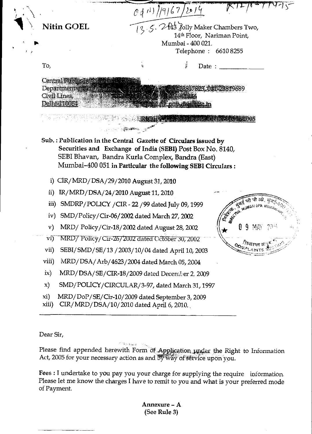|                                                                                     | 0 4 11 / 19/67/2014                                                                                                                                                          |                                                         |                                                                                                                                                                                                                               |           |
|-------------------------------------------------------------------------------------|------------------------------------------------------------------------------------------------------------------------------------------------------------------------------|---------------------------------------------------------|-------------------------------------------------------------------------------------------------------------------------------------------------------------------------------------------------------------------------------|-----------|
| <b>Nitin GOEL</b>                                                                   | 12.5. 243 Jolly Maker Chambers Two,                                                                                                                                          | 14th Floor, Nariman Point,                              |                                                                                                                                                                                                                               |           |
|                                                                                     |                                                                                                                                                                              | Mumbai - 400 021.                                       |                                                                                                                                                                                                                               |           |
|                                                                                     |                                                                                                                                                                              | Telephone: 66108255                                     |                                                                                                                                                                                                                               |           |
| To,                                                                                 | į,                                                                                                                                                                           | کہ<br>آلا<br>Date:                                      |                                                                                                                                                                                                                               |           |
| Central Public Inform<br>Department of Fublication.<br>Civil Lines,<br>Delhi 110054 | <b>A MARIE DE SAVE TA</b>                                                                                                                                                    | <b>MIL23817828.011323819689</b><br>mall pub del Gaio in |                                                                                                                                                                                                                               |           |
|                                                                                     | <b>KRICH LOUIS HOMMA HIQINGA CHE 2005</b><br><b>一般的脚步。</b>                                                                                                                   |                                                         |                                                                                                                                                                                                                               |           |
|                                                                                     |                                                                                                                                                                              |                                                         |                                                                                                                                                                                                                               |           |
|                                                                                     | Securities and Exchange of India (SEBI) Post Box No. 8140,<br>SEBI Bhavan, Bandra Kurla Complex, Bandra (East)<br>Mumbai-400 051 in Particular the following SEBI Circulars: |                                                         |                                                                                                                                                                                                                               |           |
|                                                                                     | $CIR/MRD/DSA/29/2010$ August 31, 2010                                                                                                                                        |                                                         |                                                                                                                                                                                                                               |           |
| $\mathbf{ii}$                                                                       | IR/MRD/DSA/24/2010 August 11, 2010                                                                                                                                           |                                                         |                                                                                                                                                                                                                               |           |
| $\mathbf{iii}$<br>iv)                                                               | SMDRP/POLICY / CIR - 22 / 99 dated July 09, 1999                                                                                                                             |                                                         |                                                                                                                                                                                                                               |           |
| $\mathbf{v})$                                                                       | SMD/Policy/Cir-06/2002 dated March 27, 2002                                                                                                                                  |                                                         | THE STOCK OF THE OFF OF THE STATE OF THE STATE OF THE MUSCLE OF THE MUSCLE OF THE MUSCLE OF THE MUSCLE OF THE MUSCLE OF THE MUSCLE OF THE MUSCLE OF THE MUSCLE OF THE MUSCLE OF THE MUSCLE OF THE MUSCLE OF THE MUSCLE OF THE | 2월년       |
|                                                                                     | MRD/Policy/Cir-18/2002 dated August 28, 2002<br>MRD/Policy/Cir-26/2002 dated October 30, 2002                                                                                |                                                         |                                                                                                                                                                                                                               |           |
| $\operatorname{vii}$                                                                | SEBI/SMD/SE/13 / 2003/10/04 dated April 10, 2003                                                                                                                             |                                                         | $\sigma_{\alpha_{\mu_{\alpha_{1}}}}$                                                                                                                                                                                          | ीयाग्वत क |
| viii)                                                                               | MRD/DSA/Arb/4623/2004 dated March 05, 2004                                                                                                                                   |                                                         |                                                                                                                                                                                                                               |           |
| $i\mathbf{x}$                                                                       | MRD/DSA/SE/CIR-18/2009 dated December 2, 2009                                                                                                                                |                                                         |                                                                                                                                                                                                                               |           |
| $\mathbf{x}$                                                                        | SMD/POLICY/CIRCULAR/3-97, dated March 31, 1997                                                                                                                               |                                                         |                                                                                                                                                                                                                               |           |

Dear Sir,

inseptivals.  $\mathcal{B}_{\mathcal{M}_0}$ Please find appended herewith Form of Application under the Right to Information Act, 2005 for your necessary action as and by way of service upon you.

Fees : I undertake to you pay you your charge for supplying the require information. Please let me know the charges I have to remit to you and what is your preferred mode of Payment.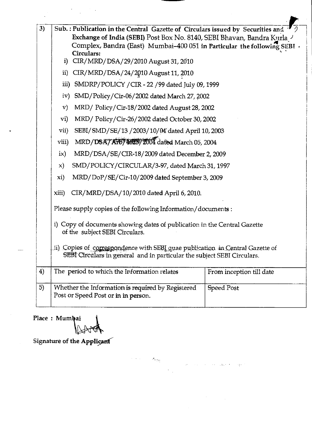| 3) |                                                                                                                                                                                                                                                                                                                                                                                                                                                       | Sub.: Publication in the Central Gazette of Circulars issued by Securities and<br>Exchange of India (SEBI) Post Box No. 8140, SEBI Bhavan, Bandra Kurla J<br>Complex, Bandra (East) Mumbai-400 051 in Particular the following SEBI v |                          |  |  |
|----|-------------------------------------------------------------------------------------------------------------------------------------------------------------------------------------------------------------------------------------------------------------------------------------------------------------------------------------------------------------------------------------------------------------------------------------------------------|---------------------------------------------------------------------------------------------------------------------------------------------------------------------------------------------------------------------------------------|--------------------------|--|--|
|    | i)                                                                                                                                                                                                                                                                                                                                                                                                                                                    | Circulars:<br>CIR/MRD/DSA/29/2010 August 31, 2010                                                                                                                                                                                     |                          |  |  |
|    | CIR/MRD/DSA/24/2010 August 11, 2010<br>$\mathbf{ii}$                                                                                                                                                                                                                                                                                                                                                                                                  |                                                                                                                                                                                                                                       |                          |  |  |
|    | SMDRP/POLICY / CIR - 22 / 99 dated July 09, 1999<br>iii)                                                                                                                                                                                                                                                                                                                                                                                              |                                                                                                                                                                                                                                       |                          |  |  |
|    | iv)                                                                                                                                                                                                                                                                                                                                                                                                                                                   | SMD/Policy/Cir-06/2002 dated March 27, 2002                                                                                                                                                                                           |                          |  |  |
|    | MRD/ Policy/Cir-18/2002 dated August 28, 2002<br>${\bf v})$                                                                                                                                                                                                                                                                                                                                                                                           |                                                                                                                                                                                                                                       |                          |  |  |
|    | $\mathbf{vi})$                                                                                                                                                                                                                                                                                                                                                                                                                                        | MRD/ Policy/Cir-26/2002 dated October 30, 2002                                                                                                                                                                                        |                          |  |  |
|    | vii)<br>SEBI/SMD/SE/13/2003/10/04 dated April 10, 2003                                                                                                                                                                                                                                                                                                                                                                                                |                                                                                                                                                                                                                                       |                          |  |  |
|    | MRD/DSA7A157462372004 dated March 05, 2004<br>viii)<br>MRD/DSA/SE/CIR-18/2009 dated December 2, 2009<br>$i\mathsf{x}$<br>SMD/POLICY/CIRCULAR/3-97, dated March 31, 1997<br>$\mathbf{x})$                                                                                                                                                                                                                                                              |                                                                                                                                                                                                                                       |                          |  |  |
|    |                                                                                                                                                                                                                                                                                                                                                                                                                                                       |                                                                                                                                                                                                                                       |                          |  |  |
|    |                                                                                                                                                                                                                                                                                                                                                                                                                                                       |                                                                                                                                                                                                                                       |                          |  |  |
|    | MRD/DoP/SE/Cir-10/2009 dated September 3, 2009<br>xi)<br>CIR/MRD/DSA/10/2010 dated April 6, 2010.<br>xiii)<br>Please supply copies of the following Information/documents :<br>i) Copy of documents showing dates of publication in the Central Gazette<br>of the subject SEBI Circulars.<br>ii) Copies of correspondence with SEBI quae publication in Central Gazette of<br>SEBI Circulars in general and in particular the subject SEBI Circulars. |                                                                                                                                                                                                                                       |                          |  |  |
|    |                                                                                                                                                                                                                                                                                                                                                                                                                                                       |                                                                                                                                                                                                                                       |                          |  |  |
|    |                                                                                                                                                                                                                                                                                                                                                                                                                                                       |                                                                                                                                                                                                                                       |                          |  |  |
|    |                                                                                                                                                                                                                                                                                                                                                                                                                                                       |                                                                                                                                                                                                                                       |                          |  |  |
|    |                                                                                                                                                                                                                                                                                                                                                                                                                                                       |                                                                                                                                                                                                                                       |                          |  |  |
| 4) |                                                                                                                                                                                                                                                                                                                                                                                                                                                       | The period to which the Information relates                                                                                                                                                                                           | From inception till date |  |  |
| 5) |                                                                                                                                                                                                                                                                                                                                                                                                                                                       | Whether the Information is required by Registered<br>Post or Speed Post or in in person.                                                                                                                                              | <b>Speed Post</b>        |  |  |

 $\label{eq:3.1} \mathcal{L}(\mathcal{A}) = \{ \mathcal{L}(\mathcal{A}) \mid \mathcal{A}(\mathcal{A}) \leq \mathcal{L}(\mathcal{A}) \} \text{ for all } \mathcal{A}(\mathcal{A}) \leq \mathcal{L} \text{ and } \mathcal{A}(\mathcal{A}) \leq \mathcal{L} \text{ and } \mathcal{A}(\mathcal{A}) \leq \mathcal{L} \text{ and } \mathcal{A}(\mathcal{A}) \leq \mathcal{L} \text{ and } \mathcal{A}(\mathcal{A}) \leq \mathcal{L} \text{ and } \mathcal{A}(\mathcal{A}) \leq \math$ 

 $\label{eq:2} \frac{1}{2} \int_{\mathbb{R}^3} \frac{1}{\sqrt{2}} \, \frac{1}{\sqrt{2}} \, \frac{1}{\sqrt{2}} \, \frac{1}{\sqrt{2}} \, \frac{1}{\sqrt{2}} \, \frac{1}{\sqrt{2}} \, \frac{1}{\sqrt{2}} \, \frac{1}{\sqrt{2}} \, \frac{1}{\sqrt{2}} \, \frac{1}{\sqrt{2}} \, \frac{1}{\sqrt{2}} \, \frac{1}{\sqrt{2}} \, \frac{1}{\sqrt{2}} \, \frac{1}{\sqrt{2}} \, \frac{1}{\sqrt{2}} \, \frac{1}{\sqrt{2}} \, \frac$ 

 $\bar{\bar{z}}$ 

Place : Mumbai

Signature of the Applicant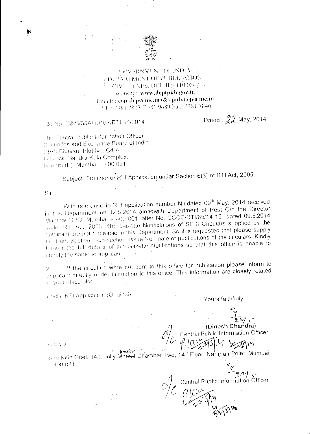

## **GOVERNMENT OF INDIA DEPARTMENT OF PUBLICATION** CIVEL HINES, DELHI ( 110 054) Website: www.deptpub.gov.in l-mail: acop-dep a nie.in (&) pub.dep a nie.in 144.:: 2381 7823 2381 9689 Fax: 2381 7846.

File No. O&M/65A/19167/RTI-14/2014

Dated: 22 May, 2014

The Central Public Information Officer Securities and Exchange Board of India SHBI Bhavan, Plot No. C4-A. G Hlock, Bandra Kula Complex, Bandra (E), Mumbai ~ 400 051

Subject: Transfer of RTI Application under Section 6(3) of RTI Act, 2005.

 $\langle \cdot \rangle_{||}$ 

۲

With reference to RTI application number Nil dated 09<sup>th</sup> May, 2014 received in this Department on 12:5.2014 alongwith Department of Post O/o the Director Mumbai GPO. Mumbai - 400 001 letter No. CCCC/RTI/85/14-15 dated 09.5.2014 under RTI Act. 2005. The Gazette Notifications of SEBI Circulars supplied by the applicant are not traceable in this Department. So it is requested that please supply the Part, Section. Sub-section issue No., date of publications of the circulars. Kindly for ush the full details of the Gazette Notifications so that this office is enable to supply the same to applicant

If the circulars were not sent to this office for publication please inform to 2 applicant directly under infiniation to this office. This information are closely related th your office also.

Friday RTI application (Original)

Yours faithfully.

(Dinesh Chandra) Central Public Information Officer

Central Public Information Officer

clopy to

Sini Nitin Goel. 143, Jolly Market Chamber Two, 14th Floor, Nariman Point, Mumbai 400.021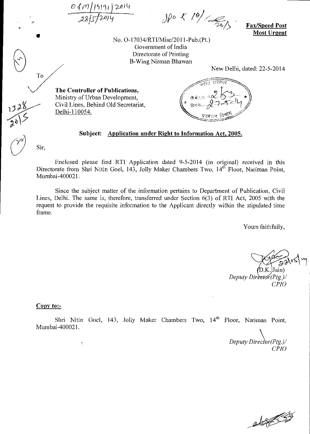|2014

,/s/2-6P-/ *JP°* oc- /Y<6

Fax/Speed Post Most Urgent

No. 0-17034/RTI/Misc/2011-Pub.(Pt.) Government of India Directorate of Printing B-Wing Nirman Bhawan

New Delhi, dated: 22-5-2014

The Controller of Publications, Ministry of Urban Development, Civil Lines, Behind Old Secretariat, Delhi-110054.

--- - .... दिनायः..... $\chi$  -

#### Subject: Application under Right to Information Act, 2005.

Sir,

To

Enclosed please find RTI Application dated 9-5-2014 (in original) received in this Directorate from Shri Nitin Goel, 143, Jolly Maker Chambers Two, 14<sup>th</sup> Floor, Nariman Point, Mumbai-400021.

Since the subject matter of the information pertains to Department of Publication, Civil Lines, Delhi. The same is, therefore, transferred under Section 6(3) of RTI Act, 2005 with the request to provide the requisite information to the Applicant directly within the stipulated time frame.

Yours faithfully,

 $\sqrt{98.28}$ D.K. Jain) *Deputy Director*(Ptg.)/ *CP10* 

#### Copy to:-

 $\epsilon$ 

Shri Nitin Goel, 143, Jolly Maker Chambers Two, 14<sup>th</sup> Floor, Nariman Point, Mumbai-400021.

*Deputy Director*(Ptg.)/ *CP10* 

elf S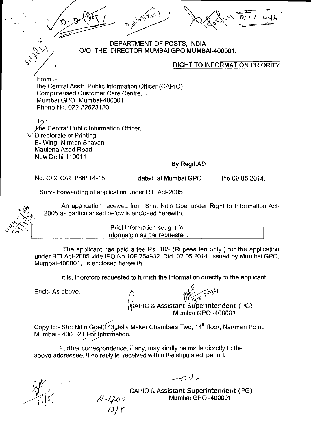

### DEPARTMENT OF POSTS, INDIA 0/0 THE DIRECTOR MUMBAI GPO MUMBAI-400001.

### RIGHT TO INFORMATION PRIORITY

From :-The Central Asstt. Public Information Officer (CAPIO) Computerised Customer Care Centre, Mumbai GPO, Mumbai-400001. Phone No. 022-22623120.

 $TQ$ yfie Central Public Information Officer, /Directorate of Printing, B- Wing, Nirman Bhavan Maulana Azad Road, New Delhi 110011

#### By Regd.AD

No. CCCC/RTI/86/ 14-15 dated at Mumbai GPO the 09.05.2014.

Sub:- Forwarding of application under RTI Act-2005.

An application received from Shri. Nitin Goel under Right to Information Act-2005 as particularised below is enclosed herewith.

Brief Information sought for

Informatoin as per requested.

The applicant has paid a fee Ps. 10/- (Rupees ten only ) for the application under RTI Act-2005 vide IPO No.10F 754932 Dtd. 07.05.2014. issued by Mumbai GPO, Mumbai-400001, is enclosed herewith.

It is, therefore requested to furnish the information directly to the applicant.

End:- As above.

APIO & Assistant Superintendent (PG)

Mumbai GPO -400001

Copy to:- Shri Nitin Goel, 143, Jelly Maker Chambers Two, 14<sup>th</sup> floor, Nariman Point, Mumbai - 400 021 For Information.

Further correspondence, if any, may kindly be made directly to the above addressee, if no reply is received within the stipulated period.

 $A - 1202$ <br> $1315$ 

CAPIO & Assistant Superintendent (PG)

Mumbai GPO -400001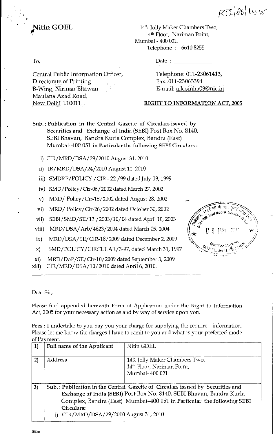

**Nitin GOEL** 143 Jolly Maker Chambers Two, 14th Floor, Nariman Point, Mumbai - 400 021. Telephone : 6610 8255

Central Public Information Officer, Directorate of Printing B-Wing, Nirman Bhawan Maulana Azad Road, New Delhi 110011

To, Date :

Telephone: 011-23061413, Fax: 011-23063394 E-mail: a.k.sinha03@nic.in

## RIGHT TO INFORMATION ACT, 2005

- Sub.: Publication in the Central Gazette of Circulars issued by Securities and Exchange of India (SEBI) Post Box No. 8140, SEBI Bhavan, Bandra Kurla Complex, Bandra (East) Mumbai-400 051 in Particular the following SEBI Circulars :
	- i) CIR/MRD/DSA/ 29/2010 August 31, 2010
	- ii) IR/MRD/DSA/24/2010 August 11, 2010
	- iii) SMDRP/POLICY /CIR 22 /99 dated July 09, 1999
	- iv) SMD/Policy/Cir-06/2002 dated March 27, 2002
	- v) MRD/ Policy/Cir-18/2002 dated August 28, 2002
	- vi) MRD/ Policy/Cir-26/2002 dated October 30, 2002
	- vii) SEBI/SMD/SE/13 /2003/10/04 dated April 10, 2003
- viii) MRD/DSA/Arb/4623/2004 dated March 05, 2004
- ix) MRD/DSA/SE/CIR-18/2009 dated December 2, 2009
- x) SMD/POLICY/CIRCULAR/3-97, dated March 31, 1997
- xi) MRD/DoP/SE/Cir-10/2009 dated September 3, 2009
- xiii) CIR/MRD/DSA/10/2010 dated April 6, 2010.

| <b>CONTRACTOR SUBARUSES</b><br>ode de la |                                       | .<br>जीवी औ |     | <b>MOO</b> |
|------------------------------------------|---------------------------------------|-------------|-----|------------|
|                                          | Ч                                     | 門堂()        | 222 |            |
|                                          | فكملتك وبر<br>$\mathcal{O}^{0,1,0,1}$ | S<br>冷熱室    | ı   |            |

 $RT(R)$ 

Dear Sir,

Please find appended herewith Form of Application under the Right to Information Act, 2005 for your necessary action as and by way of service upon you.

Fees : I undertake to you pay you your charge for supplying the require information. Please let me know the charges I have to remit to you and what is your preferred mode of Payment.

| <b>1</b> | <b>Full name of the Applicant</b>                 | Nitin GOEL                                                                                                                                                                                                                        |
|----------|---------------------------------------------------|-----------------------------------------------------------------------------------------------------------------------------------------------------------------------------------------------------------------------------------|
| 2)       | <b>Address</b>                                    | 143, Jolly Maker Chambers Two,<br>14th Floor, Nariman Point,<br>Mumbai- 400 021                                                                                                                                                   |
| 3)       | Circulars:<br>CIR/MRD/DSA/29/2010 August 31, 2010 | Sub.: Publication in the Central Gazette of Circulars issued by Securities and<br>Exchange of India (SEBI) Post Box No. 8140, SEBI Bhavan, Bandra Kurla<br>Complex, Bandra (East) Mumbai-400 051 in Particular the following SEBI |

SEBLdoc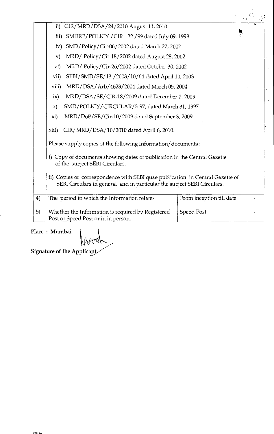|    | CIR/MRD/DSA/24/2010 August 11, 2010<br>$\overline{11}$                                                                                                   |  |  |  |  |
|----|----------------------------------------------------------------------------------------------------------------------------------------------------------|--|--|--|--|
|    | SMDRP/POLICY / CIR - 22 / 99 dated July 09, 1999<br>iii)                                                                                                 |  |  |  |  |
|    | SMD/Policy/Cir-06/2002 dated March 27, 2002<br>iv)                                                                                                       |  |  |  |  |
|    | MRD/ Policy/Cir-18/2002 dated August 28, 2002<br>$\mathbf{v})$                                                                                           |  |  |  |  |
|    | MRD/Policy/Cir-26/2002 dated October 30, 2002<br>$\mathbf{vi})$                                                                                          |  |  |  |  |
|    | SEBI/SMD/SE/13 /2003/10/04 dated April 10, 2003<br>vii)                                                                                                  |  |  |  |  |
|    | MRD/DSA/Arb/4623/2004 dated March 05, 2004<br>viii)                                                                                                      |  |  |  |  |
|    | MRD/DSA/SE/CIR-18/2009 dated December 2, 2009<br>ix)                                                                                                     |  |  |  |  |
|    | SMD/POLICY/CIRCULAR/3-97, dated March 31, 1997<br>$\mathbf{x}$                                                                                           |  |  |  |  |
|    | MRD/DoP/SE/Cir-10/2009 dated September 3, 2009<br>xi)                                                                                                    |  |  |  |  |
|    | CIR/MRD/DSA/10/2010 dated April 6, 2010.<br>xiii)                                                                                                        |  |  |  |  |
|    | Please supply copies of the following Information/documents :                                                                                            |  |  |  |  |
|    | i) Copy of documents showing dates of publication in the Central Gazette<br>of the subject SEBI Circulars.                                               |  |  |  |  |
|    | ii) Copies of correspondence with SEBI quae publication in Central Gazette of<br>SEBI Circulars in general and in particular the subject SEBI Circulars. |  |  |  |  |
| 4) | The period to which the Information relates<br>From inception till date                                                                                  |  |  |  |  |
| 5) | Whether the Information is required by Registered<br><b>Speed Post</b><br>Post or Speed Post or in in person.                                            |  |  |  |  |

 $\frac{1}{2}$ 

Place : Mumbai

lfood

Signature of the Applicant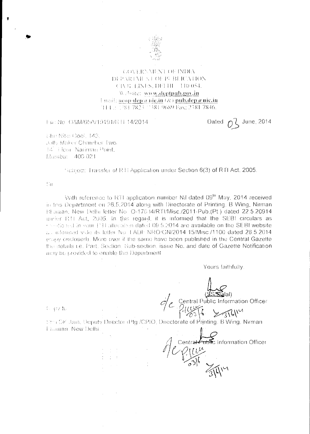

### GOVERNMENT OF INDIA DEPARTMENT OF PUBLICATION CIVELHNES, DELHE 110 054. Website: www.deptpub.gov.in Email: acop-dep a niç.in  $(\mathcal{X})$  pub.dep a nic.in THEF 2 1381 7823 1381 9689 Fax: 2381 7846.

### Fac: No. O&M/65A/19191/R LF 14/2014

Dated  $0^2$  June, 2014

Chr: Niter Gool, 143. Jolly Maker Chamber Two. 14 Eleor Natimas Point. Mumba: 400 021

Subsect: Transfer of RTI Application under Section 6(3) of RTI Act, 2005.

Sir

With reference to RTI application number Nil dated 09<sup>th</sup> May, 2014 received in this Department on 26.5.2014 along with Directorate of Printing, B Wing, Nirman Bltawan, New Delhi letter No. Q-17034/RTI/Misc./2011-Pub.(Pt.) dated 22.5.20914 under RTI Act, 2005. In this regard, it is informed that the SEBI circulars as (Sedioned in your FH allocation dated 09.5.2014 are available on the SEBI website au informed vide its letter No. LADF NRO/GN/2014 15/Misc./1100 dated 28.5.2014 (copy enclosed). More over if the same have been published in the Central Gazette the details i.e. Part, Section. Sub-section, issue No. and date of Gazette Notification may be provided to enable this Department

Yours faithfully.

entral Public Information Officer

Central Fublic Information Officer

Copy to

Stri DK Jain, Deputy Director (Ptg /CPIO, Directorate of Printing, B Wing, Nirman **Harwan, New Delhi.**